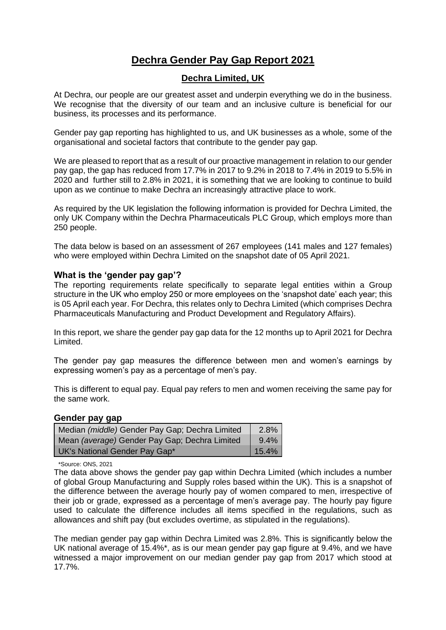# **Dechra Gender Pay Gap Report 2021**

## **Dechra Limited, UK**

At Dechra, our people are our greatest asset and underpin everything we do in the business. We recognise that the diversity of our team and an inclusive culture is beneficial for our business, its processes and its performance.

Gender pay gap reporting has highlighted to us, and UK businesses as a whole, some of the organisational and societal factors that contribute to the gender pay gap.

We are pleased to report that as a result of our proactive management in relation to our gender pay gap, the gap has reduced from 17.7% in 2017 to 9.2% in 2018 to 7.4% in 2019 to 5.5% in 2020 and further still to 2.8% in 2021, it is something that we are looking to continue to build upon as we continue to make Dechra an increasingly attractive place to work.

As required by the UK legislation the following information is provided for Dechra Limited, the only UK Company within the Dechra Pharmaceuticals PLC Group, which employs more than 250 people.

The data below is based on an assessment of 267 employees (141 males and 127 females) who were employed within Dechra Limited on the snapshot date of 05 April 2021.

### **What is the 'gender pay gap'?**

The reporting requirements relate specifically to separate legal entities within a Group structure in the UK who employ 250 or more employees on the 'snapshot date' each year; this is 05 April each year. For Dechra, this relates only to Dechra Limited (which comprises Dechra Pharmaceuticals Manufacturing and Product Development and Regulatory Affairs).

In this report, we share the gender pay gap data for the 12 months up to April 2021 for Dechra Limited.

The gender pay gap measures the difference between men and women's earnings by expressing women's pay as a percentage of men's pay.

This is different to equal pay. Equal pay refers to men and women receiving the same pay for the same work.

### **Gender pay gap**

| Median (middle) Gender Pay Gap; Dechra Limited | $2.8\%$    |
|------------------------------------------------|------------|
| Mean (average) Gender Pay Gap; Dechra Limited  | $9.4\%$    |
| UK's National Gender Pay Gap*                  | $ 15.4\% $ |

\*Source: ONS, 2021

The data above shows the gender pay gap within Dechra Limited (which includes a number of global Group Manufacturing and Supply roles based within the UK). This is a snapshot of the difference between the average hourly pay of women compared to men, irrespective of their job or grade, expressed as a percentage of men's average pay. The hourly pay figure used to calculate the difference includes all items specified in the regulations, such as allowances and shift pay (but excludes overtime, as stipulated in the regulations).

The median gender pay gap within Dechra Limited was 2.8%. This is significantly below the UK national average of 15.4%\*, as is our mean gender pay gap figure at 9.4%, and we have witnessed a major improvement on our median gender pay gap from 2017 which stood at 17.7%.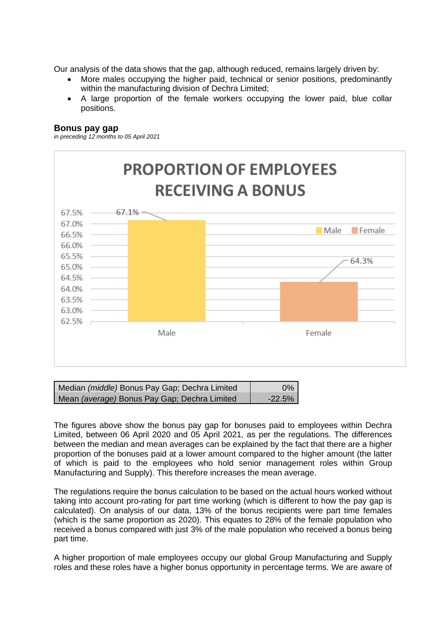Our analysis of the data shows that the gap, although reduced, remains largely driven by:

- More males occupying the higher paid, technical or senior positions, predominantly within the manufacturing division of Dechra Limited;
- A large proportion of the female workers occupying the lower paid, blue collar positions.

### **Bonus pay gap**

*in preceding 12 months to 05 April 2021*



| Median (middle) Bonus Pay Gap; Dechra Limited | $0\%$    |
|-----------------------------------------------|----------|
| Mean (average) Bonus Pay Gap; Dechra Limited  | $-22.5%$ |

The figures above show the bonus pay gap for bonuses paid to employees within Dechra Limited, between 06 April 2020 and 05 April 2021, as per the regulations. The differences between the median and mean averages can be explained by the fact that there are a higher proportion of the bonuses paid at a lower amount compared to the higher amount (the latter of which is paid to the employees who hold senior management roles within Group Manufacturing and Supply). This therefore increases the mean average.

The regulations require the bonus calculation to be based on the actual hours worked without taking into account pro-rating for part time working (which is different to how the pay gap is calculated). On analysis of our data, 13% of the bonus recipients were part time females (which is the same proportion as 2020). This equates to 28% of the female population who received a bonus compared with just 3% of the male population who received a bonus being part time.

A higher proportion of male employees occupy our global Group Manufacturing and Supply roles and these roles have a higher bonus opportunity in percentage terms. We are aware of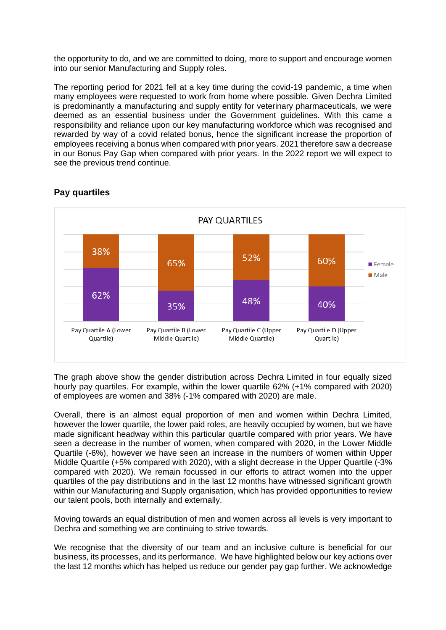the opportunity to do, and we are committed to doing, more to support and encourage women into our senior Manufacturing and Supply roles.

The reporting period for 2021 fell at a key time during the covid-19 pandemic, a time when many employees were requested to work from home where possible. Given Dechra Limited is predominantly a manufacturing and supply entity for veterinary pharmaceuticals, we were deemed as an essential business under the Government guidelines. With this came a responsibility and reliance upon our key manufacturing workforce which was recognised and rewarded by way of a covid related bonus, hence the significant increase the proportion of employees receiving a bonus when compared with prior years. 2021 therefore saw a decrease in our Bonus Pay Gap when compared with prior years. In the 2022 report we will expect to see the previous trend continue.



## **Pay quartiles**

The graph above show the gender distribution across Dechra Limited in four equally sized hourly pay quartiles. For example, within the lower quartile 62% (+1% compared with 2020) of employees are women and 38% (-1% compared with 2020) are male.

Overall, there is an almost equal proportion of men and women within Dechra Limited, however the lower quartile, the lower paid roles, are heavily occupied by women, but we have made significant headway within this particular quartile compared with prior years. We have seen a decrease in the number of women, when compared with 2020, in the Lower Middle Quartile (-6%), however we have seen an increase in the numbers of women within Upper Middle Quartile (+5% compared with 2020), with a slight decrease in the Upper Quartile (-3% compared with 2020). We remain focussed in our efforts to attract women into the upper quartiles of the pay distributions and in the last 12 months have witnessed significant growth within our Manufacturing and Supply organisation, which has provided opportunities to review our talent pools, both internally and externally.

Moving towards an equal distribution of men and women across all levels is very important to Dechra and something we are continuing to strive towards.

We recognise that the diversity of our team and an inclusive culture is beneficial for our business, its processes, and its performance. We have highlighted below our key actions over the last 12 months which has helped us reduce our gender pay gap further. We acknowledge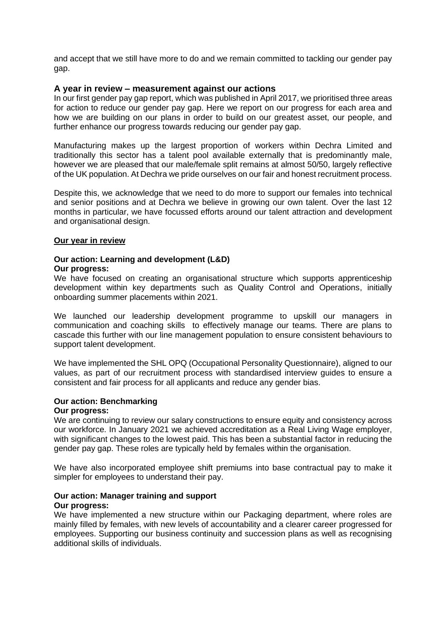and accept that we still have more to do and we remain committed to tackling our gender pay gap.

### **A year in review – measurement against our actions**

In our first gender pay gap report, which was published in April 2017, we prioritised three areas for action to reduce our gender pay gap. Here we report on our progress for each area and how we are building on our plans in order to build on our greatest asset, our people, and further enhance our progress towards reducing our gender pay gap.

Manufacturing makes up the largest proportion of workers within Dechra Limited and traditionally this sector has a talent pool available externally that is predominantly male, however we are pleased that our male/female split remains at almost 50/50, largely reflective of the UK population. At Dechra we pride ourselves on our fair and honest recruitment process.

Despite this, we acknowledge that we need to do more to support our females into technical and senior positions and at Dechra we believe in growing our own talent. Over the last 12 months in particular, we have focussed efforts around our talent attraction and development and organisational design.

### **Our year in review**

## **Our action: Learning and development (L&D)**

### **Our progress:**

We have focused on creating an organisational structure which supports apprenticeship development within key departments such as Quality Control and Operations, initially onboarding summer placements within 2021.

We launched our leadership development programme to upskill our managers in communication and coaching skills to effectively manage our teams. There are plans to cascade this further with our line management population to ensure consistent behaviours to support talent development.

We have implemented the SHL OPQ (Occupational Personality Questionnaire), aligned to our values, as part of our recruitment process with standardised interview guides to ensure a consistent and fair process for all applicants and reduce any gender bias.

### **Our action: Benchmarking**

### **Our progress:**

We are continuing to review our salary constructions to ensure equity and consistency across our workforce. In January 2021 we achieved accreditation as a Real Living Wage employer, with significant changes to the lowest paid. This has been a substantial factor in reducing the gender pay gap. These roles are typically held by females within the organisation.

We have also incorporated employee shift premiums into base contractual pay to make it simpler for employees to understand their pay.

### **Our action: Manager training and support Our progress:**

We have implemented a new structure within our Packaging department, where roles are mainly filled by females, with new levels of accountability and a clearer career progressed for employees. Supporting our business continuity and succession plans as well as recognising additional skills of individuals.